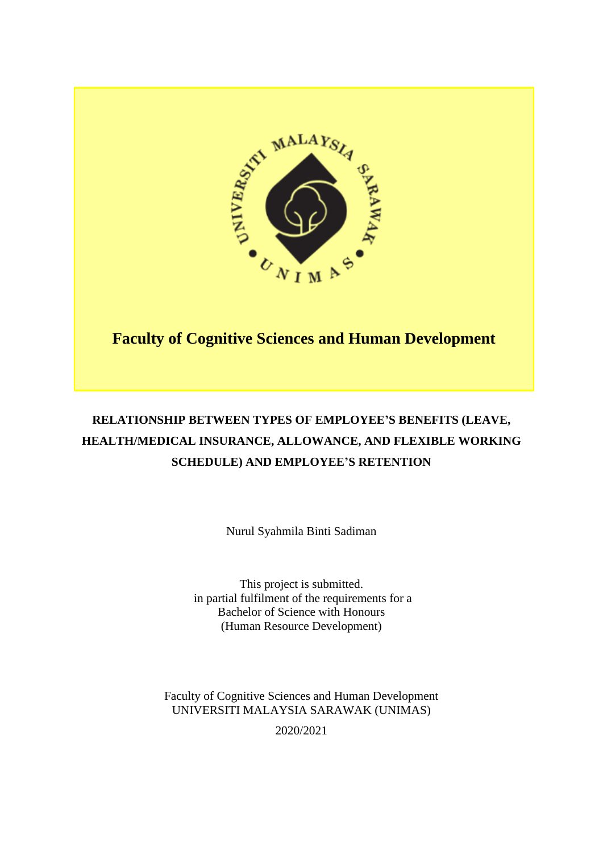

# **Faculty of Cognitive Sciences and Human Development**

# **RELATIONSHIP BETWEEN TYPES OF EMPLOYEE'S BENEFITS (LEAVE, HEALTH/MEDICAL INSURANCE, ALLOWANCE, AND FLEXIBLE WORKING SCHEDULE) AND EMPLOYEE'S RETENTION**

Nurul Syahmila Binti Sadiman

This project is submitted. in partial fulfilment of the requirements for a Bachelor of Science with Honours (Human Resource Development)

Faculty of Cognitive Sciences and Human Development UNIVERSITI MALAYSIA SARAWAK (UNIMAS)

2020/2021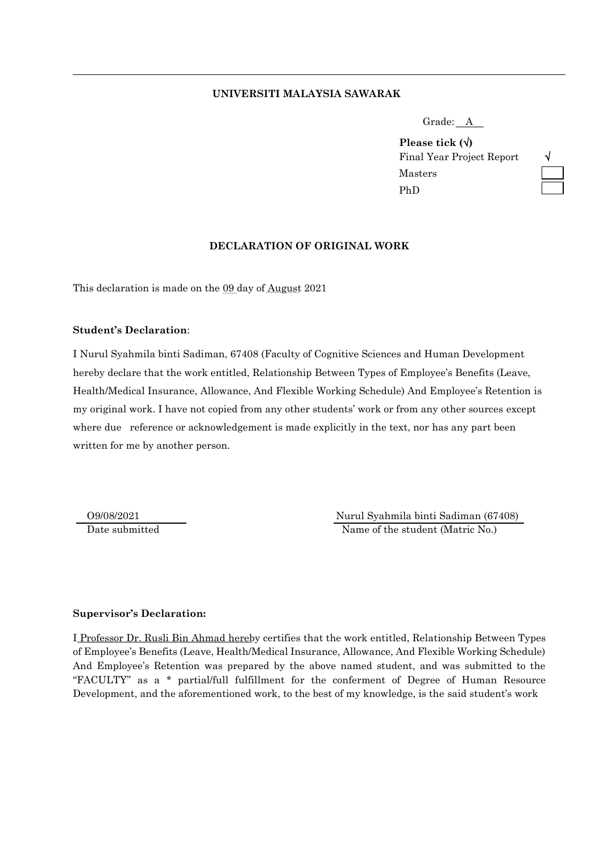#### **UNIVERSITI MALAYSIA SAWARAK**

| Grade: \ | $\overline{\phantom{a}}$ |  |
|----------|--------------------------|--|
|          |                          |  |

**Please tick ()** Final Year Project Report Masters PhD

| -V   |  |
|------|--|
|      |  |
| ____ |  |

#### **DECLARATION OF ORIGINAL WORK**

This declaration is made on the 09 day of August 2021

#### **Student's Declaration**:

I Nurul Syahmila binti Sadiman, 67408 (Faculty of Cognitive Sciences and Human Development hereby declare that the work entitled, Relationship Between Types of Employee's Benefits (Leave, Health/Medical Insurance, Allowance, And Flexible Working Schedule) And Employee's Retention is my original work. I have not copied from any other students' work or from any other sources except where due reference or acknowledgement is made explicitly in the text, nor has any part been written for me by another person.

 O9/08/2021 Nurul Syahmila binti Sadiman (67408) Date submitted Name of the student (Matric No.)

#### **Supervisor's Declaration:**

I Professor Dr. Rusli Bin Ahmad hereby certifies that the work entitled, Relationship Between Types of Employee's Benefits (Leave, Health/Medical Insurance, Allowance, And Flexible Working Schedule) And Employee's Retention was prepared by the above named student, and was submitted to the "FACULTY" as a \* partial/full fulfillment for the conferment of Degree of Human Resource Development, and the aforementioned work, to the best of my knowledge, is the said student's work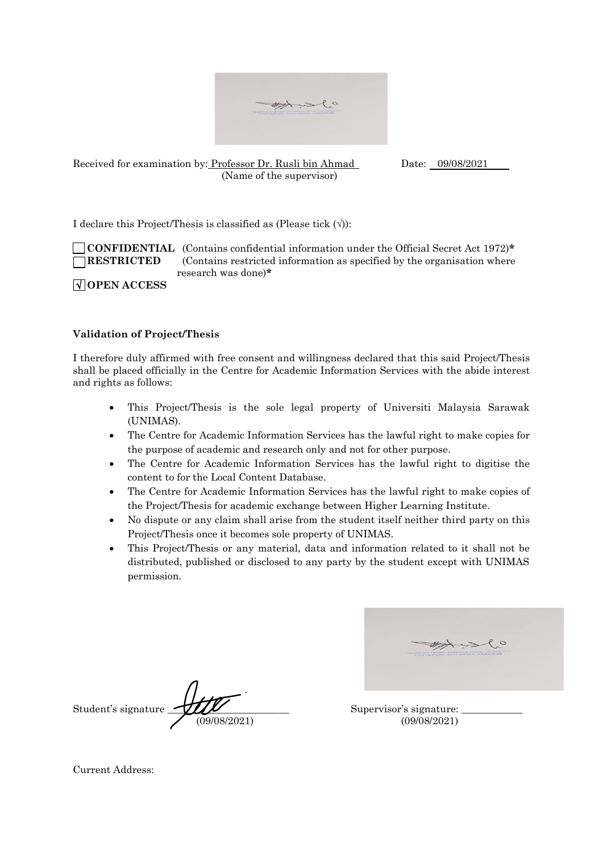

Received for examination by: Professor Dr. Rusli bin Ahmad Date: 09/08/2021 (Name of the supervisor)

I declare this Project/Thesis is classified as (Please tick  $(\forall)$ ):

 **CONFIDENTIAL** (Contains confidential information under the Official Secret Act 1972)**\* RESTRICTED** (Contains restricted information as specified by the organisation where research was done)**\***

**OPEN ACCESS**

## **Validation of Project/Thesis**

I therefore duly affirmed with free consent and willingness declared that this said Project/Thesis shall be placed officially in the Centre for Academic Information Services with the abide interest and rights as follows:

- This Project/Thesis is the sole legal property of Universiti Malaysia Sarawak (UNIMAS).
- The Centre for Academic Information Services has the lawful right to make copies for the purpose of academic and research only and not for other purpose.
- The Centre for Academic Information Services has the lawful right to digitise the content to for the Local Content Database.
- The Centre for Academic Information Services has the lawful right to make copies of the Project/Thesis for academic exchange between Higher Learning Institute.
- No dispute or any claim shall arise from the student itself neither third party on this Project/Thesis once it becomes sole property of UNIMAS.
- This Project/Thesis or any material, data and information related to it shall not be distributed, published or disclosed to any party by the student except with UNIMAS permission.

Student's signature  $\mathcal{L}/\mathcal{L}$  Supervisor's signature: (09/08/2021) (09/08/2021)

Current Address: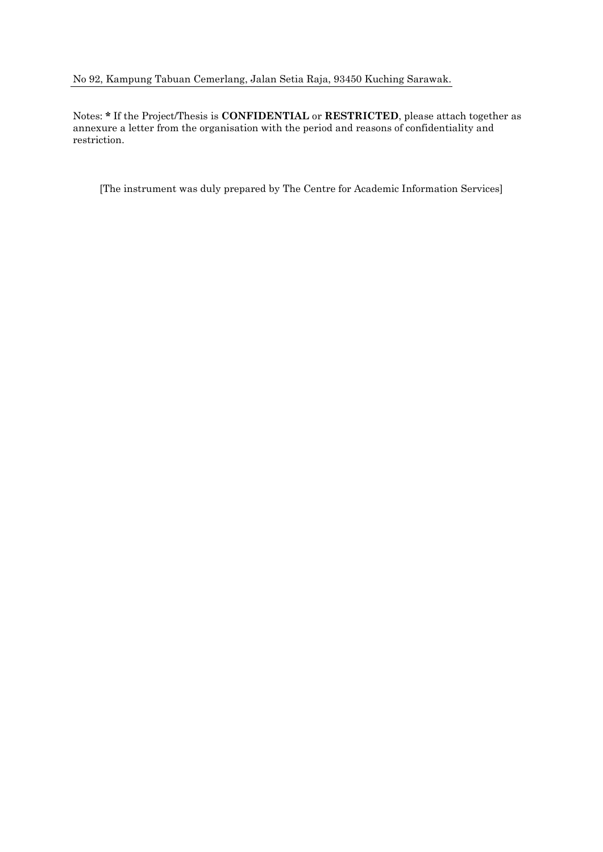# No 92, Kampung Tabuan Cemerlang, Jalan Setia Raja, 93450 Kuching Sarawak.

Notes: **\*** If the Project/Thesis is **CONFIDENTIAL** or **RESTRICTED**, please attach together as annexure a letter from the organisation with the period and reasons of confidentiality and restriction.

[The instrument was duly prepared by The Centre for Academic Information Services]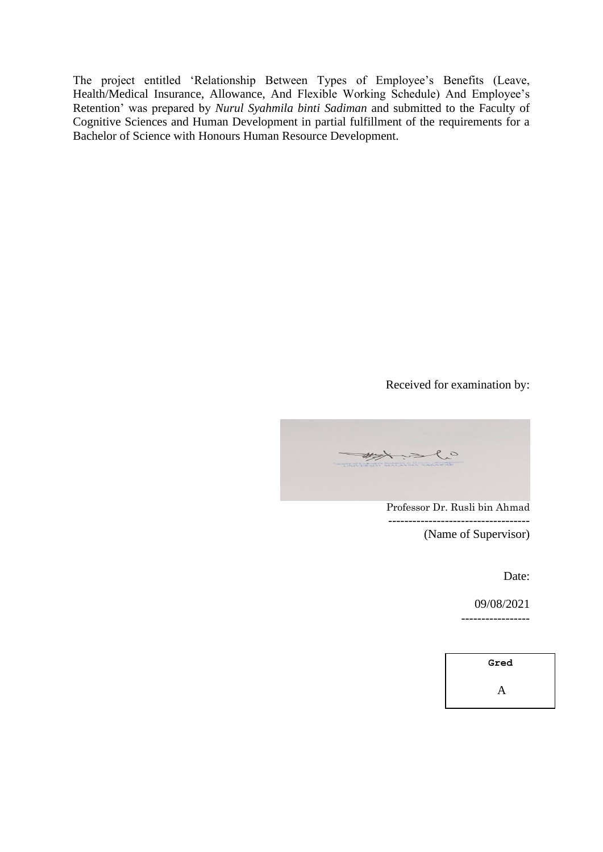The project entitled 'Relationship Between Types of Employee's Benefits (Leave, Health/Medical Insurance, Allowance, And Flexible Working Schedule) And Employee's Retention' was prepared by *Nurul Syahmila binti Sadiman* and submitted to the Faculty of Cognitive Sciences and Human Development in partial fulfillment of the requirements for a Bachelor of Science with Honours Human Resource Development.

# Received for examination by:

my slo

Professor Dr. Rusli bin Ahmad -----------------------------------

(Name of Supervisor)

Date:

09/08/2021

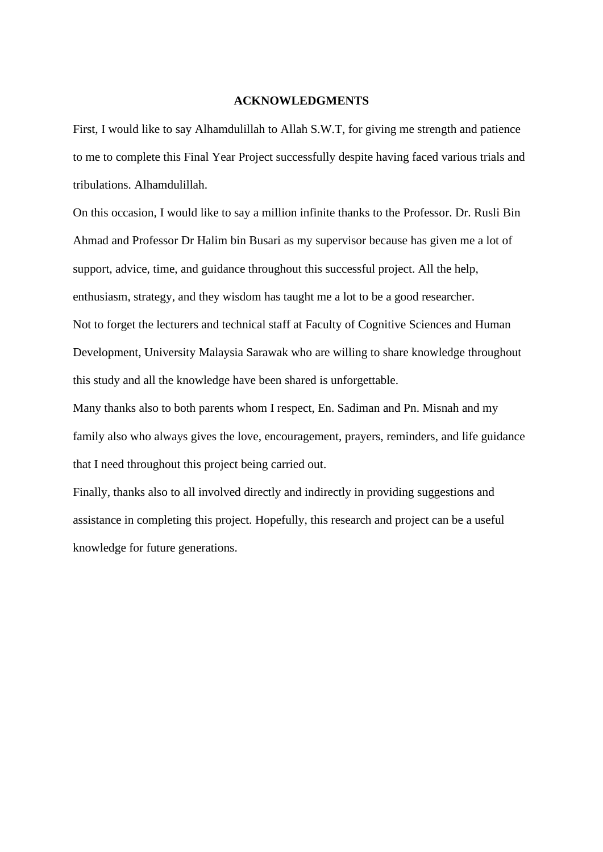#### **ACKNOWLEDGMENTS**

First, I would like to say Alhamdulillah to Allah S.W.T, for giving me strength and patience to me to complete this Final Year Project successfully despite having faced various trials and tribulations. Alhamdulillah.

On this occasion, I would like to say a million infinite thanks to the Professor. Dr. Rusli Bin Ahmad and Professor Dr Halim bin Busari as my supervisor because has given me a lot of support, advice, time, and guidance throughout this successful project. All the help, enthusiasm, strategy, and they wisdom has taught me a lot to be a good researcher. Not to forget the lecturers and technical staff at Faculty of Cognitive Sciences and Human Development, University Malaysia Sarawak who are willing to share knowledge throughout this study and all the knowledge have been shared is unforgettable.

Many thanks also to both parents whom I respect, En. Sadiman and Pn. Misnah and my family also who always gives the love, encouragement, prayers, reminders, and life guidance that I need throughout this project being carried out.

Finally, thanks also to all involved directly and indirectly in providing suggestions and assistance in completing this project. Hopefully, this research and project can be a useful knowledge for future generations.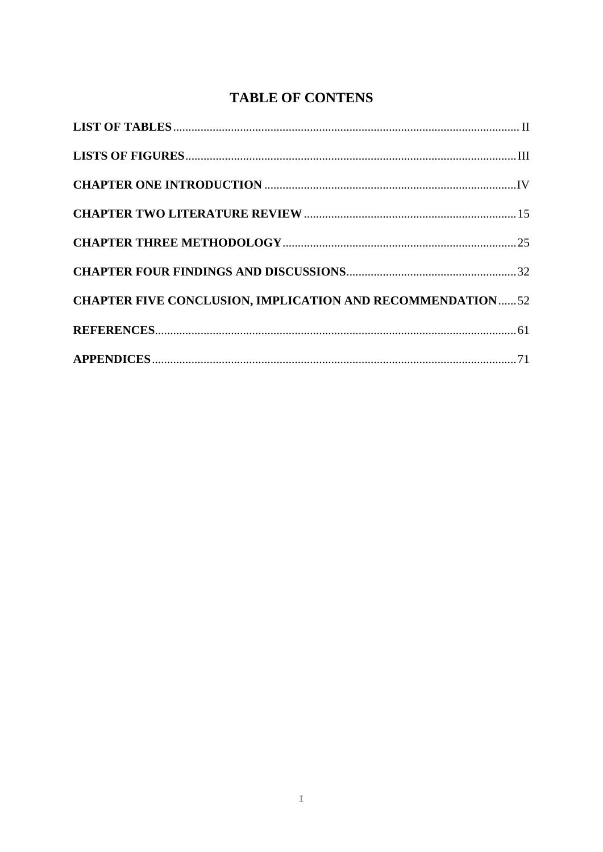# **TABLE OF CONTENS**

| <b>CHAPTER FIVE CONCLUSION, IMPLICATION AND RECOMMENDATION52</b> |  |
|------------------------------------------------------------------|--|
|                                                                  |  |
|                                                                  |  |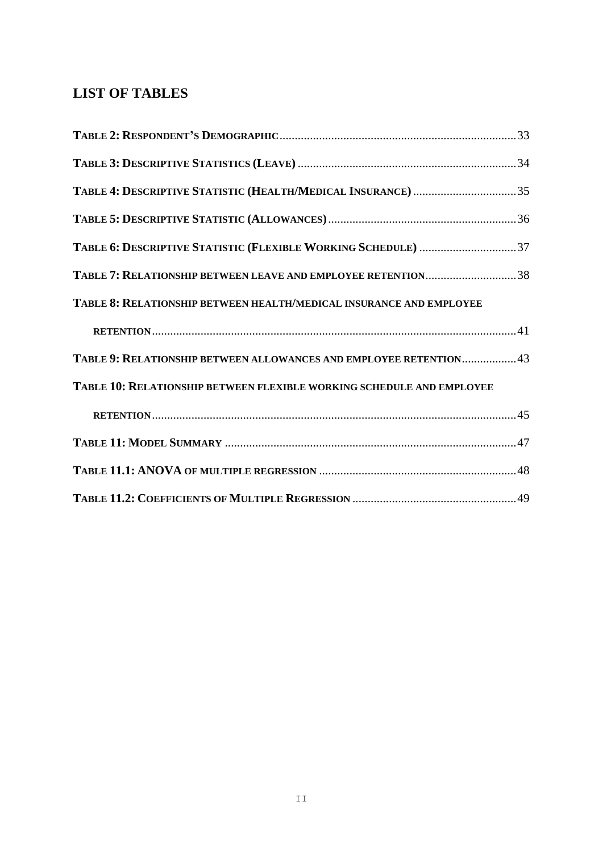# <span id="page-7-0"></span>**LIST OF TABLES**

| TABLE 4: DESCRIPTIVE STATISTIC (HEALTH/MEDICAL INSURANCE) 35          |  |
|-----------------------------------------------------------------------|--|
|                                                                       |  |
| TABLE 6: DESCRIPTIVE STATISTIC (FLEXIBLE WORKING SCHEDULE) 37         |  |
| TABLE 7: RELATIONSHIP BETWEEN LEAVE AND EMPLOYEE RETENTION38          |  |
| TABLE 8: RELATIONSHIP BETWEEN HEALTH/MEDICAL INSURANCE AND EMPLOYEE   |  |
|                                                                       |  |
| TABLE 9: RELATIONSHIP BETWEEN ALLOWANCES AND EMPLOYEE RETENTION43     |  |
| TABLE 10: RELATIONSHIP BETWEEN FLEXIBLE WORKING SCHEDULE AND EMPLOYEE |  |
|                                                                       |  |
|                                                                       |  |
|                                                                       |  |
|                                                                       |  |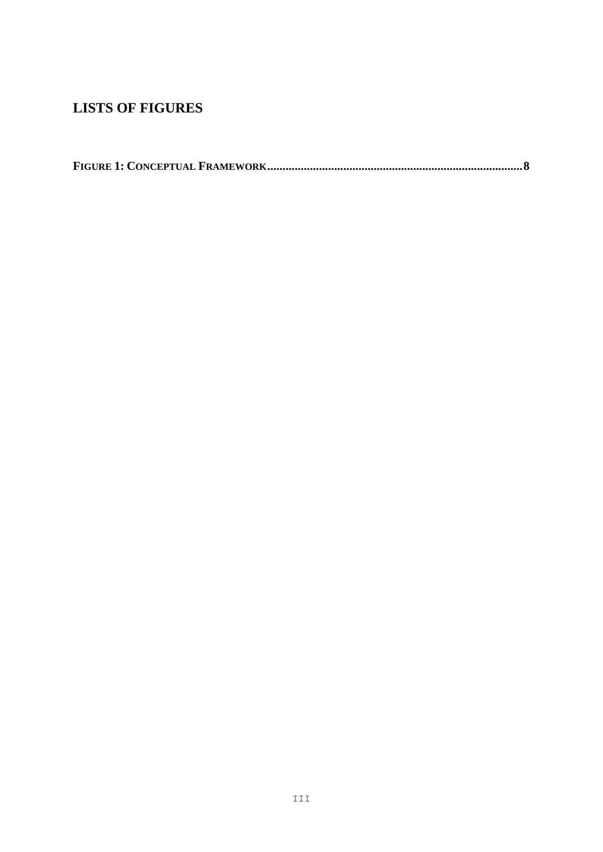# <span id="page-8-0"></span>**LISTS OF FIGURES**

<span id="page-8-1"></span>

|--|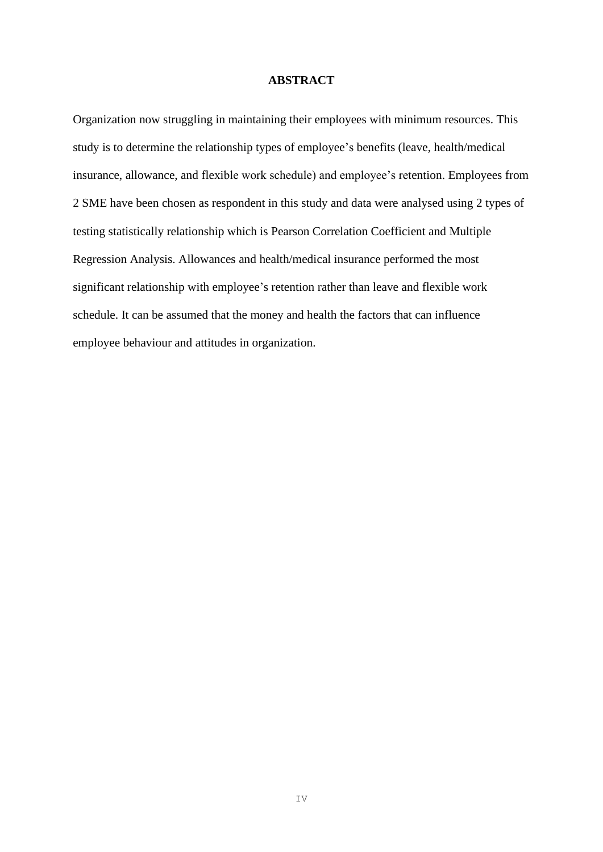#### **ABSTRACT**

Organization now struggling in maintaining their employees with minimum resources. This study is to determine the relationship types of employee's benefits (leave, health/medical insurance, allowance, and flexible work schedule) and employee's retention. Employees from 2 SME have been chosen as respondent in this study and data were analysed using 2 types of testing statistically relationship which is Pearson Correlation Coefficient and Multiple Regression Analysis. Allowances and health/medical insurance performed the most significant relationship with employee's retention rather than leave and flexible work schedule. It can be assumed that the money and health the factors that can influence employee behaviour and attitudes in organization.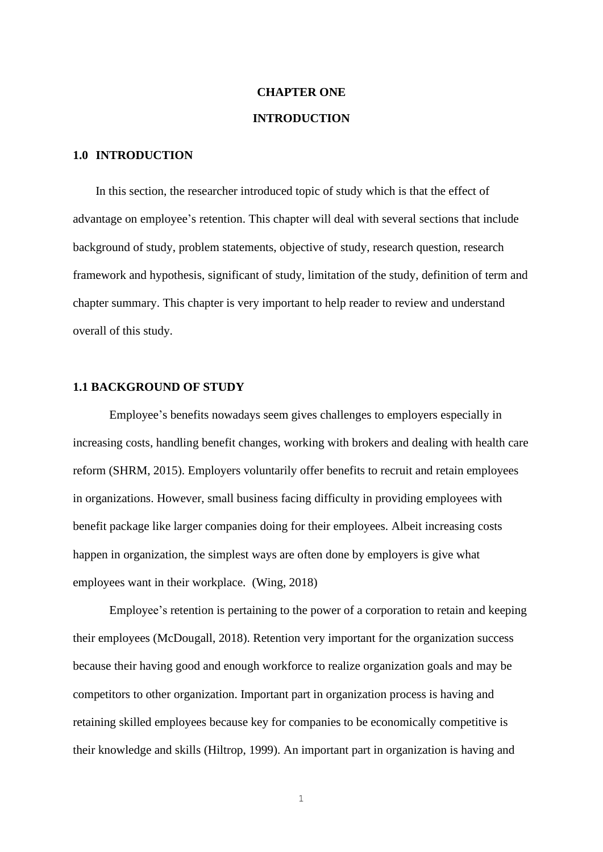# **CHAPTER ONE INTRODUCTION**

# **1.0 INTRODUCTION**

In this section, the researcher introduced topic of study which is that the effect of advantage on employee's retention. This chapter will deal with several sections that include background of study, problem statements, objective of study, research question, research framework and hypothesis, significant of study, limitation of the study, definition of term and chapter summary. This chapter is very important to help reader to review and understand overall of this study.

#### **1.1 BACKGROUND OF STUDY**

Employee's benefits nowadays seem gives challenges to employers especially in increasing costs, handling benefit changes, working with brokers and dealing with health care reform (SHRM, 2015). Employers voluntarily offer benefits to recruit and retain employees in organizations. However, small business facing difficulty in providing employees with benefit package like larger companies doing for their employees. Albeit increasing costs happen in organization, the simplest ways are often done by employers is give what employees want in their workplace. (Wing, 2018)

Employee's retention is pertaining to the power of a corporation to retain and keeping their employees (McDougall, 2018). Retention very important for the organization success because their having good and enough workforce to realize organization goals and may be competitors to other organization. Important part in organization process is having and retaining skilled employees because key for companies to be economically competitive is their knowledge and skills (Hiltrop, 1999). An important part in organization is having and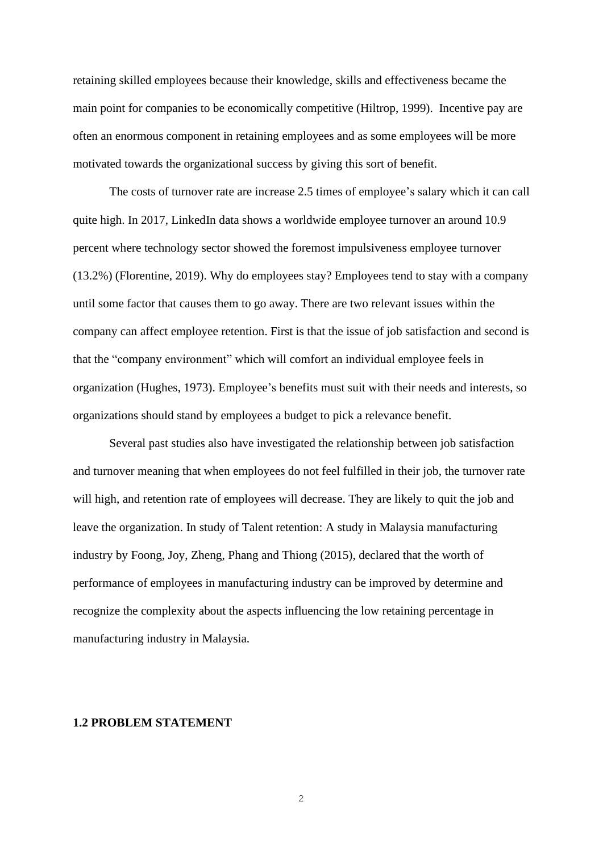retaining skilled employees because their knowledge, skills and effectiveness became the main point for companies to be economically competitive (Hiltrop, 1999). Incentive pay are often an enormous component in retaining employees and as some employees will be more motivated towards the organizational success by giving this sort of benefit.

The [costs of turnover](https://www.peoplekeep.com/blog/bid/312123/employee-retention-the-real-cost-of-losing-an-employee) rate are increase 2.5 times of employee's salary which it can call quite high. In 2017, LinkedIn data shows a worldwide employee turnover an around 10.9 percent where technology sector showed the foremost impulsiveness employee turnover (13.2%) (Florentine, 2019). Why do employees stay? Employees tend to stay with a company until some factor that causes them to go away. There are two relevant issues within the company can affect employee retention. First is that the issue of job satisfaction and second is that the "company environment" which will comfort an individual employee feels in organization (Hughes, 1973). Employee's benefits must suit with their needs and interests, so organizations should stand by employees a budget to pick a relevance benefit.

Several past studies also have investigated the relationship between job satisfaction and turnover meaning that when employees do not feel fulfilled in their job, the turnover rate will high, and retention rate of employees will decrease. They are likely to quit the job and leave the organization. In study of Talent retention: A study in Malaysia manufacturing industry by Foong, Joy, Zheng, Phang and Thiong (2015), declared that the worth of performance of employees in manufacturing industry can be improved by determine and recognize the complexity about the aspects influencing the low retaining percentage in manufacturing industry in Malaysia.

#### **1.2 PROBLEM STATEMENT**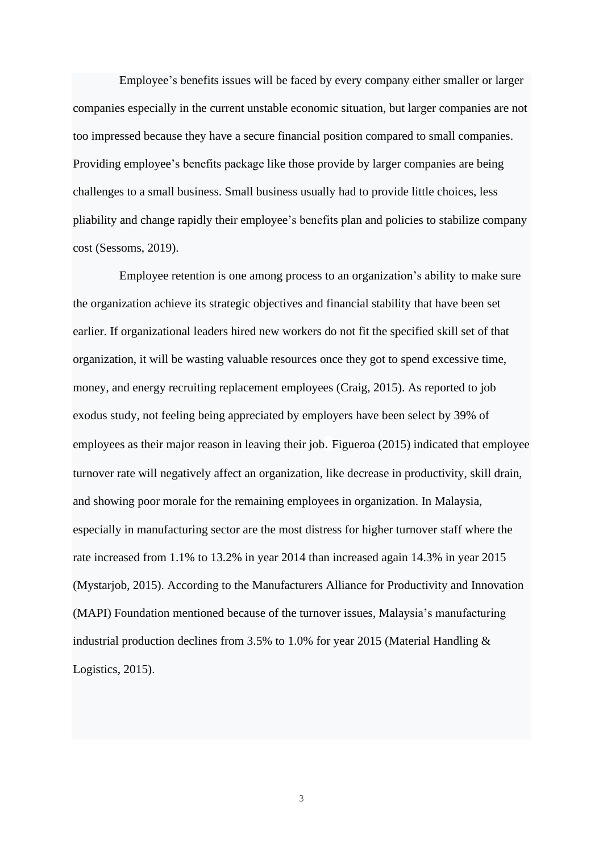Employee's benefits issues will be faced by every company either smaller or larger companies especially in the current unstable economic situation, but larger companies are not too impressed because they have a secure financial position compared to small companies. Providing employee's benefits package like those provide by larger companies are being challenges to a small business. Small business usually had to provide little choices, less pliability and change rapidly their employee's benefits plan and policies to stabilize company cost (Sessoms, 2019).

Employee retention is one among process to an organization's ability to make sure the organization achieve its strategic objectives and financial stability that have been set earlier. If organizational leaders hired new workers do not fit the specified skill set of that organization, it will be wasting valuable resources once they got to spend excessive time, money, and energy recruiting replacement employees (Craig, 2015). As reported to [job](https://www.investorsinpeople.com/sites/default/files/JobExodus2018Final_0.pdf)  [exodus study,](https://www.investorsinpeople.com/sites/default/files/JobExodus2018Final_0.pdf) not feeling being appreciated by employers have been select by 39% of employees as their major reason in leaving their job. Figueroa (2015) indicated that employee turnover rate will negatively affect an organization, like decrease in productivity, skill drain, and showing poor morale for the remaining employees in organization. In Malaysia, especially in manufacturing sector are the most distress for higher turnover staff where the rate increased from 1.1% to 13.2% in year 2014 than increased again 14.3% in year 2015 (Mystarjob, 2015). According to the Manufacturers Alliance for Productivity and Innovation (MAPI) Foundation mentioned because of the turnover issues, Malaysia's manufacturing industrial production declines from 3.5% to 1.0% for year 2015 (Material Handling & Logistics, 2015).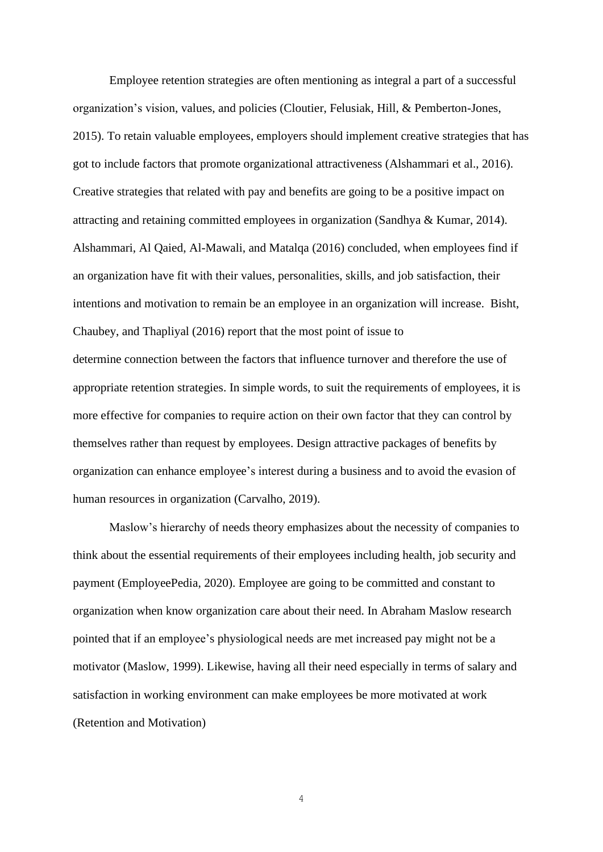Employee retention strategies are often mentioning as integral a part of a successful organization's vision, values, and policies (Cloutier, Felusiak, Hill, & Pemberton-Jones, 2015). To retain valuable employees, employers should implement creative strategies that has got to include factors that promote organizational attractiveness (Alshammari et al., 2016). Creative strategies that related with pay and benefits are going to be a positive impact on attracting and retaining committed employees in organization (Sandhya & Kumar, 2014). Alshammari, Al Qaied, Al-Mawali, and Matalqa (2016) concluded, when employees find if an organization have fit with their values, personalities, skills, and job satisfaction, their intentions and motivation to remain be an employee in an organization will increase. Bisht, Chaubey, and Thapliyal (2016) report that the most point of issue to determine connection between the factors that influence turnover and therefore the use of appropriate retention strategies. In simple words, to suit the requirements of employees, it is more effective for companies to require action on their own factor that they can control by themselves rather than request by employees. Design attractive packages of benefits by organization can enhance employee's interest during a business and to avoid the evasion of human resources in organization (Carvalho, 2019).

Maslow's hierarchy of needs theory emphasizes about the necessity of companies to think about the essential requirements of their employees including health, job security and payment (EmployeePedia, 2020). Employee are going to be committed and constant to organization when know organization care about their need. In Abraham Maslow research pointed that if an employee's physiological needs are met increased pay might not be a motivator (Maslow, 1999). Likewise, having all their need especially in terms of salary and satisfaction in working environment can make employees be more motivated at work (Retention and Motivation)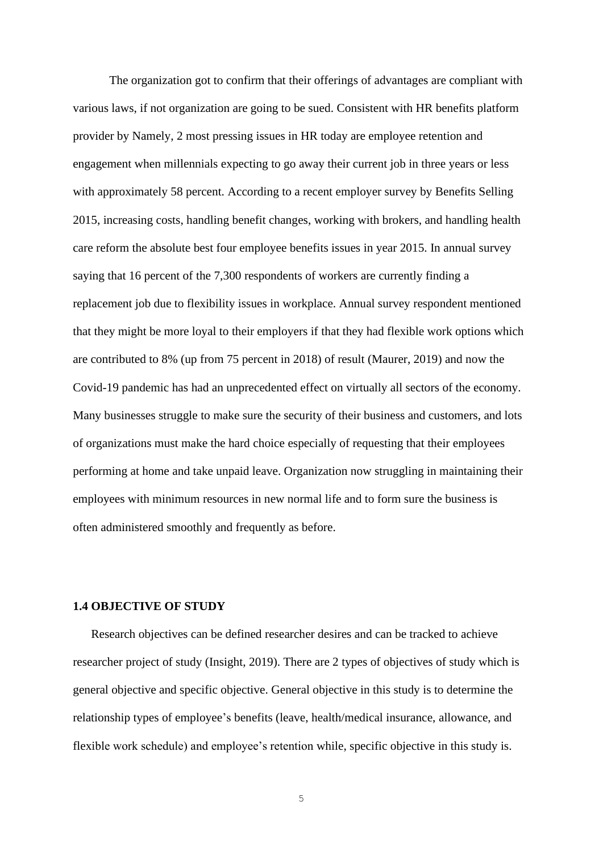The organization got to confirm that their offerings of advantages are compliant with various laws, if not organization are going to be sued. Consistent with HR benefits platform provider by Namely, 2 most pressing issues in HR today are employee retention and engagement when millennials expecting to go away their current job in three years or less with approximately 58 percent. According to a recent employer survey by Benefits Selling 2015, increasing costs, handling benefit changes, working with brokers, and handling health care reform the absolute best four employee benefits issues in year 2015. In annual survey saying that 16 percent of the 7,300 respondents of workers are currently finding a replacement job due to flexibility issues in workplace. Annual survey respondent mentioned that they might be more loyal to their employers if that they had flexible work options which are contributed to 8% (up from 75 percent in 2018) of result (Maurer, 2019) and now the Covid-19 pandemic has had an unprecedented effect on virtually all sectors of the economy. Many businesses struggle to make sure the security of their business and customers, and lots of organizations must make the hard choice especially of requesting that their employees performing at home and take unpaid leave. Organization now struggling in maintaining their employees with minimum resources in new normal life and to form sure the business is often administered smoothly and frequently as before.

## **1.4 OBJECTIVE OF STUDY**

Research objectives can be defined researcher desires and can be tracked to achieve researcher project of study (Insight, 2019). There are 2 types of objectives of study which is general objective and specific objective. General objective in this study is to determine the relationship types of employee's benefits (leave, health/medical insurance, allowance, and flexible work schedule) and employee's retention while, specific objective in this study is.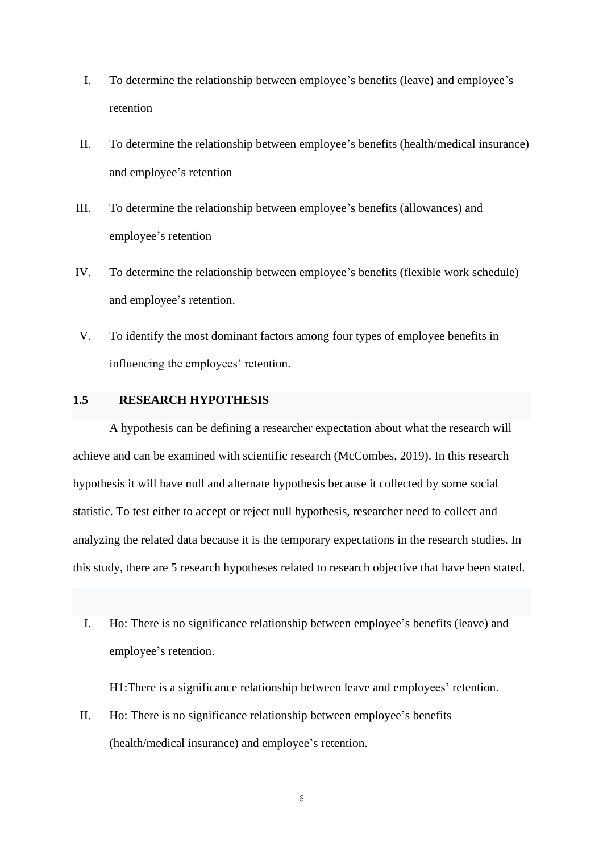- I. To determine the relationship between employee's benefits (leave) and employee's retention
- II. To determine the relationship between employee's benefits (health/medical insurance) and employee's retention
- III. To determine the relationship between employee's benefits (allowances) and employee's retention
- IV. To determine the relationship between employee's benefits (flexible work schedule) and employee's retention.
- V. To identify the most dominant factors among four types of employee benefits in influencing the employees' retention.

# **1.5 RESEARCH HYPOTHESIS**

A hypothesis can be defining a researcher expectation about what the research will achieve and can be examined with scientific research (McCombes, 2019). In this research hypothesis it will have null and alternate hypothesis because it collected by some social statistic. To test either to accept or reject null hypothesis, researcher need to collect and analyzing the related data because it is the temporary expectations in the research studies. In this study, there are 5 research hypotheses related to research objective that have been stated.

I. Ho: There is no significance relationship between employee's benefits (leave) and employee's retention.

H1:There is a significance relationship between leave and employees' retention.

II. Ho: There is no significance relationship between employee's benefits (health/medical insurance) and employee's retention.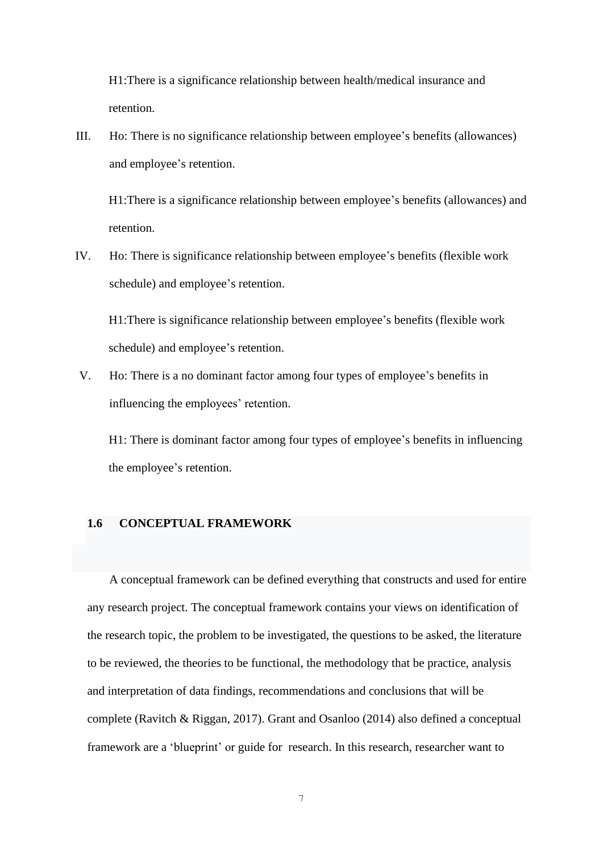H1:There is a significance relationship between health/medical insurance and retention.

III. Ho: There is no significance relationship between employee's benefits (allowances) and employee's retention.

H1:There is a significance relationship between employee's benefits (allowances) and retention.

IV. Ho: There is significance relationship between employee's benefits (flexible work schedule) and employee's retention.

H1:There is significance relationship between employee's benefits (flexible work schedule) and employee's retention.

V. Ho: There is a no dominant factor among four types of employee's benefits in influencing the employees' retention.

H1: There is dominant factor among four types of employee's benefits in influencing the employee's retention.

#### **1.6 CONCEPTUAL FRAMEWORK**

A conceptual framework can be defined everything that constructs and used for entire any research project. The conceptual framework contains your views on identification of the research topic, the problem to be investigated, the questions to be asked, the literature to be reviewed, the theories to be functional, the methodology that be practice, analysis and interpretation of data findings, recommendations and conclusions that will be complete (Ravitch & Riggan, 2017). Grant and Osanloo (2014) also defined a conceptual framework are a 'blueprint' or guide for research. In this research, researcher want to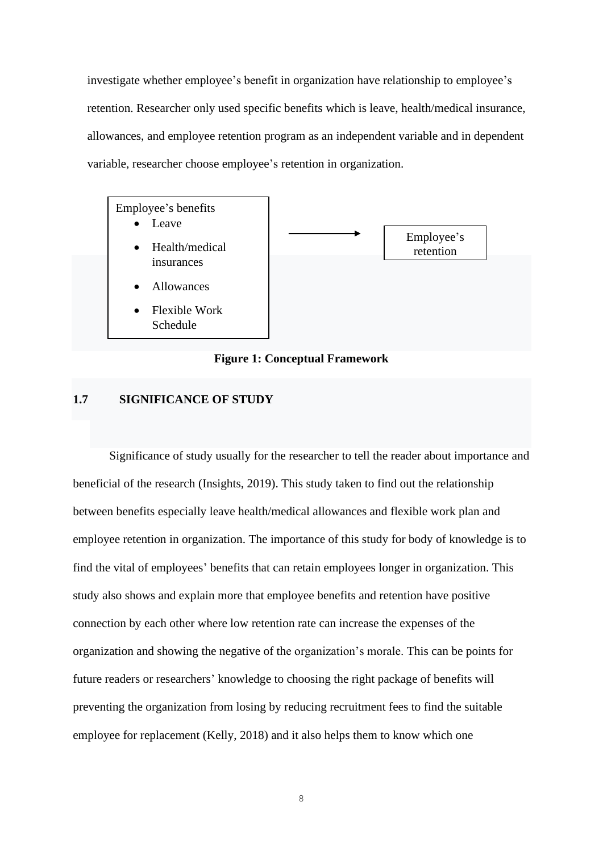investigate whether employee's benefit in organization have relationship to employee's retention. Researcher only used specific benefits which is leave, health/medical insurance, allowances, and employee retention program as an independent variable and in dependent variable, researcher choose employee's retention in organization.



**Figure 1: Conceptual Framework**

# <span id="page-17-0"></span>**1.7 SIGNIFICANCE OF STUDY**

Significance of study usually for the researcher to tell the reader about importance and beneficial of the research (Insights, 2019). This study taken to find out the relationship between benefits especially leave health/medical allowances and flexible work plan and employee retention in organization. The importance of this study for body of knowledge is to find the vital of employees' benefits that can retain employees longer in organization. This study also shows and explain more that employee benefits and retention have positive connection by each other where low retention rate can increase the expenses of the organization and showing the negative of the organization's morale. This can be points for future readers or researchers' knowledge to choosing the right package of benefits will preventing the organization from losing by reducing recruitment fees to find the suitable employee for replacement (Kelly, 2018) and it also helps them to know which one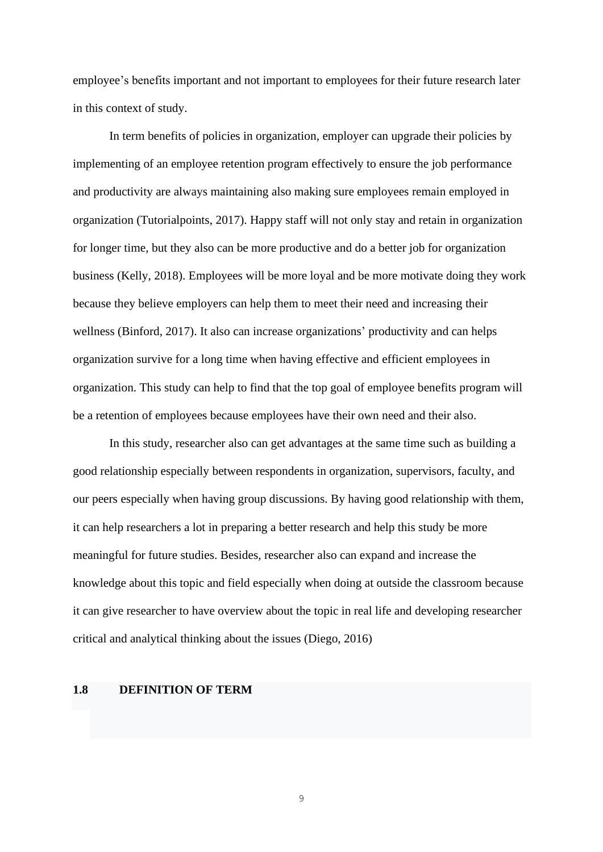employee's benefits important and not important to employees for their future research later in this context of study.

In term benefits of policies in organization, employer can upgrade their policies by implementing of an employee retention program effectively to ensure the job performance and productivity are always maintaining also making sure employees remain employed in organization (Tutorialpoints, 2017). Happy staff will not only stay and retain in organization for longer time, but they also can be more productive and do a better job for organization business (Kelly, 2018). Employees will be more loyal and be more motivate doing they work because they believe employers can help them to meet their need and increasing their wellness (Binford, 2017). It also can increase organizations' productivity and can helps organization survive for a long time when having effective and efficient employees in organization. This study can help to find that the top goal of employee benefits program will be a retention of employees because employees have their own need and their also.

In this study, researcher also can get advantages at the same time such as building a good relationship especially between respondents in organization, supervisors, faculty, and our peers especially when having group discussions. By having good relationship with them, it can help researchers a lot in preparing a better research and help this study be more meaningful for future studies. Besides, researcher also can expand and increase the knowledge about this topic and field especially when doing at outside the classroom because it can give researcher to have overview about the topic in real life and developing researcher critical and analytical thinking about the issues (Diego, 2016)

### **1.8 DEFINITION OF TERM**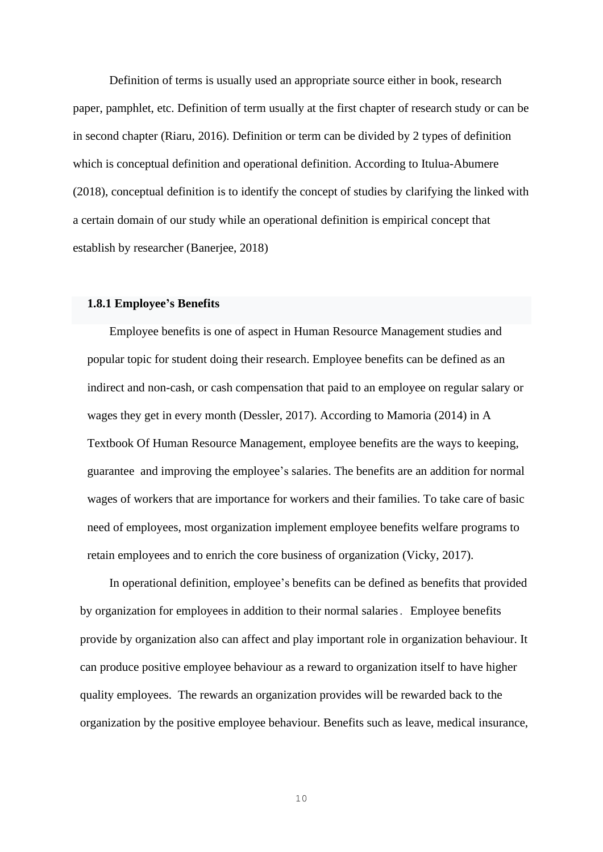Definition of terms is usually used an appropriate source either in book, research paper, pamphlet, etc. Definition of term usually at the first chapter of research study or can be in second chapter (Riaru, 2016). Definition or term can be divided by 2 types of definition which is conceptual definition and operational definition. According to Itulua-Abumere (2018), conceptual definition is to identify the concept of studies by clarifying the linked with a certain domain of our study while an operational definition is empirical concept that establish by researcher (Banerjee, 2018)

## **1.8.1 Employee's Benefits**

Employee benefits is one of aspect in Human Resource Management studies and popular topic for student doing their research. Employee benefits can be defined as an indirect and non-cash, or cash compensation that paid to an employee on regular salary or wages they get in every month (Dessler, 2017). According to Mamoria (2014) in [A](https://www.amazon.in/Textbook-Human-Resource-Magement/dp/9350970945/ref=sr_1_1?dchild=1&qid=1608663207&refinements=p_27%3AC+B+Mamoria&s=books&sr=1-1)  [Textbook Of Human Resource](https://www.amazon.in/Textbook-Human-Resource-Magement/dp/9350970945/ref=sr_1_1?dchild=1&qid=1608663207&refinements=p_27%3AC+B+Mamoria&s=books&sr=1-1) Management, employee benefits are the ways to keeping, guarantee and improving the employee's salaries. The benefits are an addition for normal wages of workers that are importance for workers and their families. To take care of basic need of employees, most organization implement employee benefits welfare programs to retain employees and to enrich the core business of organization (Vicky, 2017).

In operational definition, employee's benefits can be defined as benefits that provided by organization for employees in addition to their normal salaries. Employee benefits provide by organization also can affect and play important role in organization behaviour. It can produce positive employee behaviour as a reward to organization itself to have higher quality employees. The rewards an organization provides will be rewarded back to the organization by the positive employee behaviour. Benefits such as leave, medical insurance,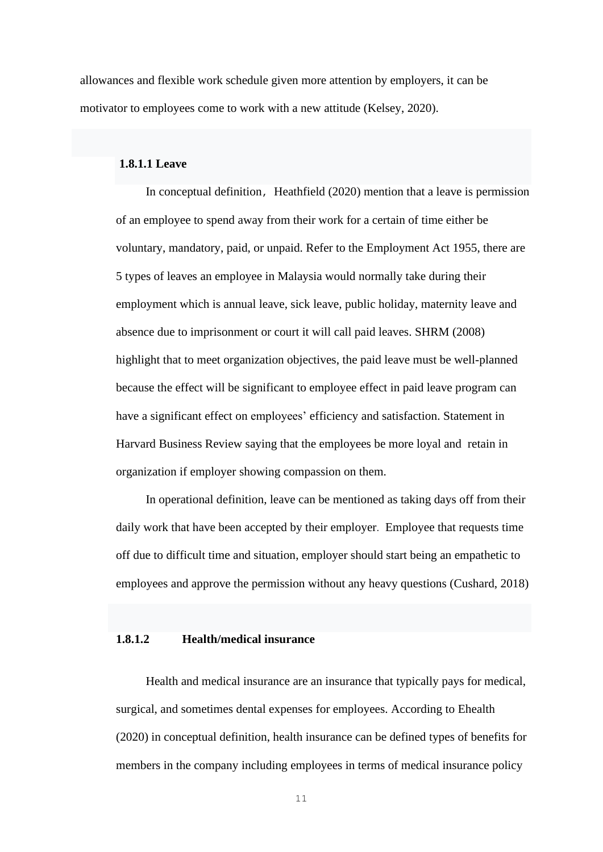allowances and flexible work schedule given more attention by employers, it can be motivator to employees come to work with a new attitude (Kelsey, 2020).

# **1.8.1.1 Leave**

In conceptual definition, Heathfield (2020) mention that a leave is permission of an employee to spend away from their work for a certain of time either be voluntary, mandatory, paid, or unpaid. Refer to the Employment Act 1955, there are 5 types of leaves an employee in Malaysia would normally take during their employment which is annual leave, sick leave, public holiday, maternity leave and absence due to imprisonment or court it will call paid leaves. SHRM (2008) highlight that to meet organization objectives, the paid leave must be well-planned because the effect will be significant to employee effect in paid leave program can have a significant effect on employees' efficiency and satisfaction. Statement in [Harvard Business](https://hbr.org/2015/05/why-compassion-is-a-better-managerial-tactic-than-toughness) Review saying that the employees be more loyal and retain in organization if employer showing compassion on them.

In operational definition, leave can be mentioned as taking days off from their daily work that have been accepted by their employer. Employee that requests time off due to difficult time and situation, employer should start being an empathetic to employees and approve the permission without any heavy questions (Cushard, 2018)

# **1.8.1.2 Health/medical insurance**

Health and medical insurance are an insurance that typically pays for medical, surgical, and sometimes dental expenses for employees. According to Ehealth (2020) in conceptual definition, health insurance can be defined types of benefits for members in the company including employees in terms of medical insurance policy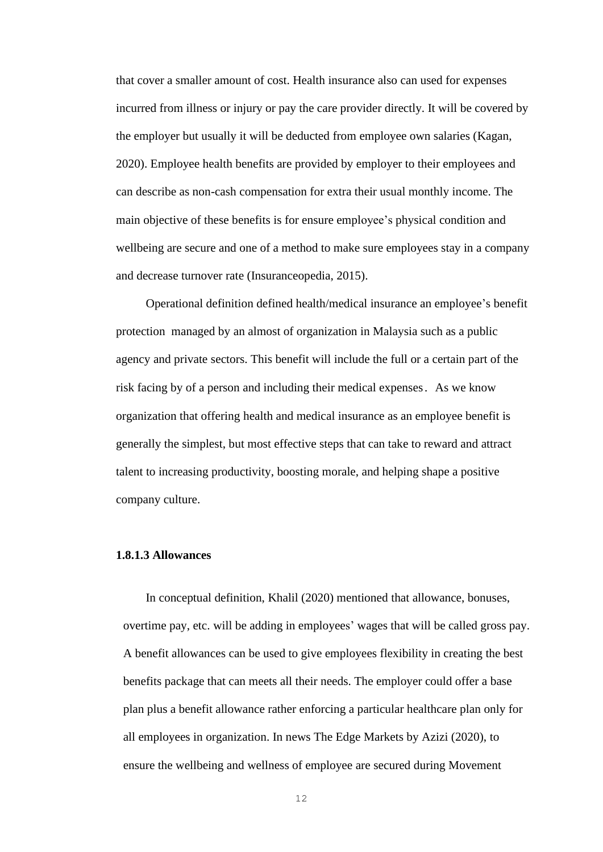that cover a smaller amount of cost. Health insurance also can used for expenses incurred from illness or injury or pay the care provider directly. It will be covered by the employer but usually it will be deducted from employee own salaries (Kagan, 2020). Employee health benefits are provided by employer to their employees and can describe as non-cash compensation for extra their usual monthly income. The main objective of these benefits is for ensure employee's physical condition and wellbeing are secure and one of a method to make sure employees stay in a company and decrease turnover rate (Insuranceopedia, 2015).

Operational definition defined health/medical insurance an employee's benefit [protection](https://en.wikipedia.org/wiki/Insurance) managed by an almost of organization in Malaysia such as a public agency and private sectors. This benefit will include the full or a certain part of the risk facing by of a person and including their [medical expenses](https://en.wikipedia.org/wiki/Medical_expenses). As we know organization that offering health and medical insurance as an employee benefit is generally the simplest, but most effective steps that can take to reward and attract talent to increasing productivity, boosting morale, and helping shape a positive company culture.

#### **1.8.1.3 Allowances**

In conceptual definition, Khalil (2020) mentioned that allowance, bonuses, overtime pay, etc. will be adding in employees' wages that will be called gross pay. A benefit allowances can be used to give employees flexibility in creating the best benefits package that can meets all their needs. The employer could offer a base plan plus a benefit allowance rather enforcing a particular healthcare plan only for all employees in organization. In news The Edge Markets by Azizi (2020), to ensure the wellbeing and wellness of employee are secured during Movement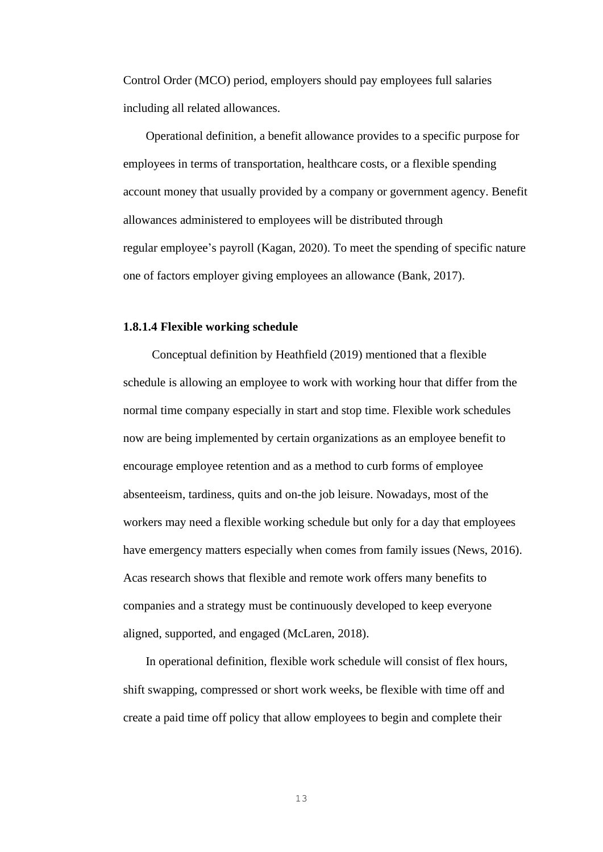Control Order (MCO) period, employers should pay employees full salaries including all related allowances.

Operational definition, a benefit allowance provides to a specific purpose for employees in terms of transportation, healthcare costs, or a [flexible spending](https://www.investopedia.com/terms/f/flexiblespendingaccount.asp)  [account](https://www.investopedia.com/terms/f/flexiblespendingaccount.asp) money that usually provided by a company or government agency. Benefit allowances administered to employees will be distributed through regular employee's payroll (Kagan, 2020). To meet the spending of specific nature one of factors employer giving employees an allowance (Bank, 2017).

#### **1.8.1.4 Flexible working schedule**

Conceptual definition by Heathfield (2019) mentioned that a [flexible](https://www.thebalancecareers.com/best-jobs-with-flexible-hours-4157698)  [schedule](https://www.thebalancecareers.com/best-jobs-with-flexible-hours-4157698) is allowing an employee to work with working hour that differ from the normal time company especially in start and stop time. Flexible work schedules now are being implemented by certain organizations as an employee benefit to encourage employee retention and as a method to curb forms of employee absenteeism, tardiness, quits and on-the job leisure. Nowadays, most of the workers may need a flexible working schedule but only for a day that employees have emergency matters especially when comes from family issues (News, 2016). Acas research shows that flexible and remote work offers many benefits to companies and a strategy must be continuously developed to keep everyone aligned, supported, and engaged (McLaren, 2018).

In operational definition, flexible work schedule will consist of flex hours, shift swapping, compressed or short work weeks, be flexible with time off and create a paid time off policy that allow employees to begin and complete their